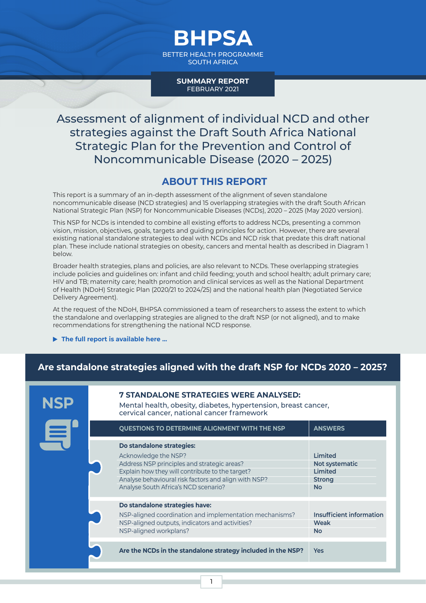BETTER HEALTH PROGRAMME SOUTH AFRICA

**BHPSA**

**SUMMARY REPORT** FEBRUARY 2021

Assessment of alignment of individual NCD and other strategies against the Draft South Africa National Strategic Plan for the Prevention and Control of Noncommunicable Disease (2020 – 2025)

#### **ABOUT THIS REPORT**

This report is a summary of an in-depth assessment of the alignment of seven standalone noncommunicable disease (NCD strategies) and 15 overlapping strategies with the draft South African National Strategic Plan (NSP) for Noncommunicable Diseases (NCDs), 2020 – 2025 (May 2020 version).

This NSP for NCDs is intended to combine all existing efforts to address NCDs, presenting a common vision, mission, objectives, goals, targets and guiding principles for action. However, there are several existing national standalone strategies to deal with NCDs and NCD risk that predate this draft national plan. These include national strategies on obesity, cancers and mental health as described in Diagram 1 below.

Broader health strategies, plans and policies, are also relevant to NCDs. These overlapping strategies include policies and guidelines on: infant and child feeding; youth and school health; adult primary care; HIV and TB; maternity care; health promotion and clinical services as well as the National Department of Health (NDoH) Strategic Plan (2020/21 to 2024/25) and the national health plan (Negotiated Service Delivery Agreement).

At the request of the NDoH, BHPSA commissioned a team of researchers to assess the extent to which the standalone and overlapping strategies are aligned to the draft NSP (or not aligned), and to make recommendations for strengthening the national NCD response.

**[The full report is available here ...](https://hssncds.co.za/component/jdownloads/?task=download.send&id=20:1-1-1-2-assessment-of-standalone-strategies-against-the-nsp-final-logos&catid=3&m=0&Itemid=351)**

**NSP**

## **Are standalone strategies aligned with the draft NSP for NCDs 2020 – 2025?**

#### **7 STANDALONE STRATEGIES WERE ANALYSED:**

Mental health, obesity, diabetes, hypertension, breast cancer, cervical cancer, national cancer framework

| <b>QUESTIONS TO DETERMINE ALIGNMENT WITH THE NSP</b>                                                                                                                                                                                                | <b>ANSWERS</b>                                                     |
|-----------------------------------------------------------------------------------------------------------------------------------------------------------------------------------------------------------------------------------------------------|--------------------------------------------------------------------|
| Do standalone strategies:<br>Acknowledge the NSP?<br>Address NSP principles and strategic areas?<br>Explain how they will contribute to the target?<br>Analyse behavioural risk factors and align with NSP?<br>Analyse South Africa's NCD scenario? | Limited<br>Not systematic<br>Limited<br><b>Strong</b><br><b>No</b> |
| Do standalone strategies have:<br>NSP-aligned coordination and implementation mechanisms?<br>NSP-aligned outputs, indicators and activities?<br>NSP-aligned workplans?                                                                              | <b>Insufficient information</b><br><b>Weak</b><br>No               |
| Are the NCDs in the standalone strategy included in the NSP?                                                                                                                                                                                        | Yes                                                                |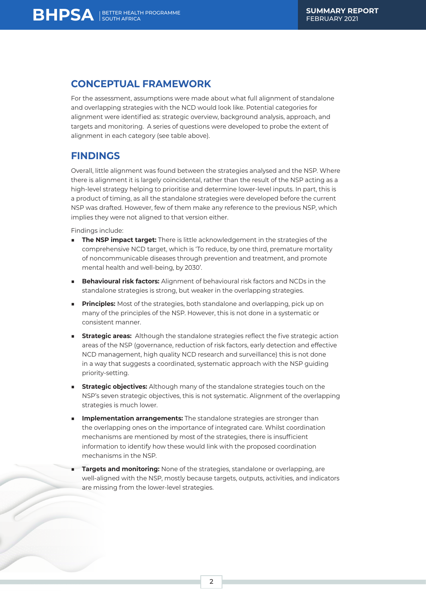# **CONCEPTUAL FRAMEWORK**

SOUTH AFRICA

For the assessment, assumptions were made about what full alignment of standalone and overlapping strategies with the NCD would look like. Potential categories for alignment were identified as: strategic overview, background analysis, approach, and targets and monitoring. A series of questions were developed to probe the extent of alignment in each category (see table above).

### **FINDINGS**

Overall, little alignment was found between the strategies analysed and the NSP. Where there is alignment it is largely coincidental, rather than the result of the NSP acting as a high-level strategy helping to prioritise and determine lower-level inputs. In part, this is a product of timing, as all the standalone strategies were developed before the current NSP was drafted. However, few of them make any reference to the previous NSP, which implies they were not aligned to that version either.

Findings include:

- **The NSP impact target:** There is little acknowledgement in the strategies of the comprehensive NCD target, which is 'To reduce, by one third, premature mortality of noncommunicable diseases through prevention and treatment, and promote mental health and well-being, by 2030'.
- **Behavioural risk factors:** Alignment of behavioural risk factors and NCDs in the standalone strategies is strong, but weaker in the overlapping strategies.
- **Principles:** Most of the strategies, both standalone and overlapping, pick up on many of the principles of the NSP. However, this is not done in a systematic or consistent manner.
- **Strategic areas:** Although the standalone strategies reflect the five strategic action areas of the NSP (governance, reduction of risk factors, early detection and effective NCD management, high quality NCD research and surveillance) this is not done in a way that suggests a coordinated, systematic approach with the NSP guiding priority-setting.
- **Strategic objectives:** Although many of the standalone strategies touch on the NSP's seven strategic objectives, this is not systematic. Alignment of the overlapping strategies is much lower.
- **Implementation arrangements:** The standalone strategies are stronger than the overlapping ones on the importance of integrated care. Whilst coordination mechanisms are mentioned by most of the strategies, there is insufficient information to identify how these would link with the proposed coordination mechanisms in the NSP.
- **Targets and monitoring:** None of the strategies, standalone or overlapping, are well-aligned with the NSP, mostly because targets, outputs, activities, and indicators are missing from the lower-level strategies.